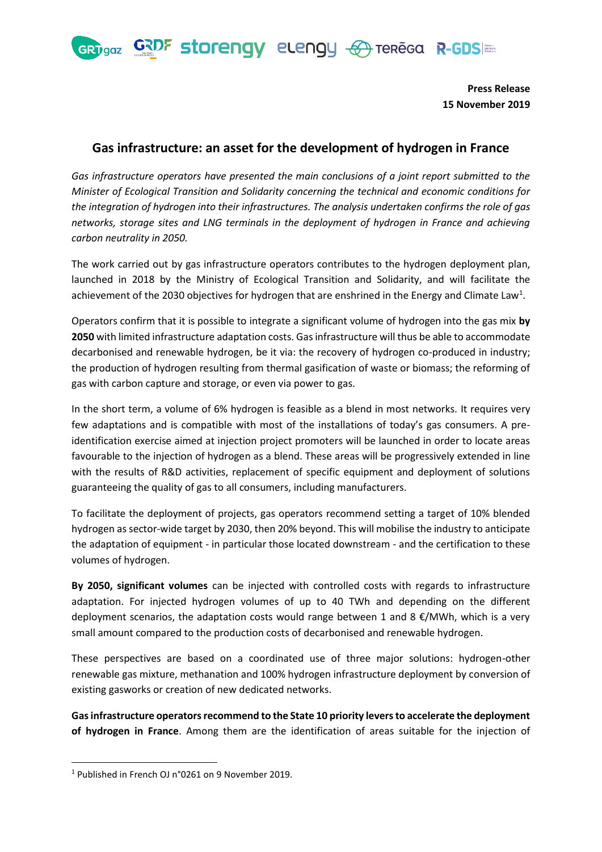GRDF storengy elengy  $\bigoplus$  tereca R-GDS

**GRT** gaz

**Press Release 15 November 2019**

## **Gas infrastructure: an asset for the development of hydrogen in France**

*Gas infrastructure operators have presented the main conclusions of a joint report submitted to the Minister of Ecological Transition and Solidarity concerning the technical and economic conditions for the integration of hydrogen into their infrastructures. The analysis undertaken confirms the role of gas networks, storage sites and LNG terminals in the deployment of hydrogen in France and achieving carbon neutrality in 2050.* 

The work carried out by gas infrastructure operators contributes to the hydrogen deployment plan, launched in 2018 by the Ministry of Ecological Transition and Solidarity, and will facilitate the achievement of the 2030 objectives for hydrogen that are enshrined in the Energy and Climate Law<sup>1</sup>.

Operators confirm that it is possible to integrate a significant volume of hydrogen into the gas mix **by 2050** with limited infrastructure adaptation costs. Gas infrastructure will thus be able to accommodate decarbonised and renewable hydrogen, be it via: the recovery of hydrogen co-produced in industry; the production of hydrogen resulting from thermal gasification of waste or biomass; the reforming of gas with carbon capture and storage, or even via power to gas.

In the short term, a volume of 6% hydrogen is feasible as a blend in most networks. It requires very few adaptations and is compatible with most of the installations of today's gas consumers. A preidentification exercise aimed at injection project promoters will be launched in order to locate areas favourable to the injection of hydrogen as a blend. These areas will be progressively extended in line with the results of R&D activities, replacement of specific equipment and deployment of solutions guaranteeing the quality of gas to all consumers, including manufacturers.

To facilitate the deployment of projects, gas operators recommend setting a target of 10% blended hydrogen as sector-wide target by 2030, then 20% beyond. This will mobilise the industry to anticipate the adaptation of equipment - in particular those located downstream - and the certification to these volumes of hydrogen.

**By 2050, significant volumes** can be injected with controlled costs with regards to infrastructure adaptation. For injected hydrogen volumes of up to 40 TWh and depending on the different deployment scenarios, the adaptation costs would range between 1 and 8 €/MWh, which is a very small amount compared to the production costs of decarbonised and renewable hydrogen.

These perspectives are based on a coordinated use of three major solutions: hydrogen-other renewable gas mixture, methanation and 100% hydrogen infrastructure deployment by conversion of existing gasworks or creation of new dedicated networks.

**Gas infrastructure operators recommend to the State 10 priority levers to accelerate the deployment of hydrogen in France**. Among them are the identification of areas suitable for the injection of

<sup>1</sup> Published in French OJ n°0261 on 9 November 2019.